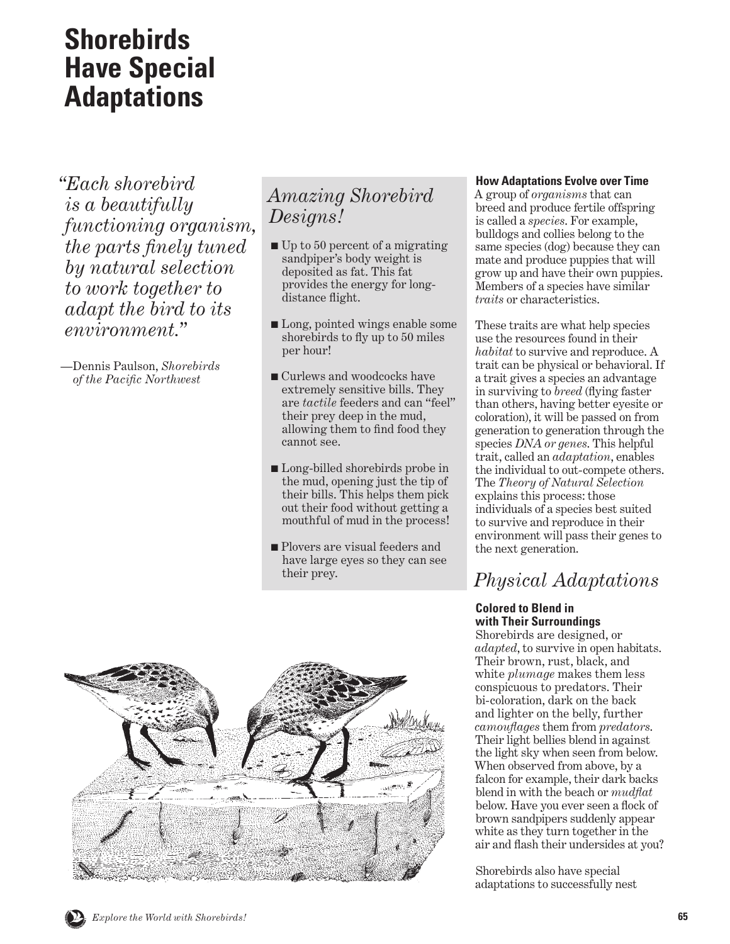# **Shorebirds Have Special Adaptations**

*"Each shorebird is a beautifully functioning organism, the parts finely tuned by natural selection to work together to adapt the bird to its environment."* 

— Dennis Paulson, *Shorebirds of the Pacific Northwest*

### *Amazing Shorebird Designs!*

- Up to 50 percent of a migrating sandpiper's body weight is deposited as fat. This fat provides the energy for longdistance flight.
- Long, pointed wings enable some shorebirds to fly up to 50 miles per hour!
- Curlews and woodcocks have extremely sensitive bills. They are *tactile* feeders and can "feel" their prey deep in the mud, allowing them to find food they cannot see.
- Long-billed shorebirds probe in the mud, opening just the tip of their bills. This helps them pick out their food without getting a mouthful of mud in the process!
- Plovers are visual feeders and have large eyes so they can see their prey.



### **How Adaptations Evolve over Time**

A group of *organisms* that can breed and produce fertile offspring is called a *species*. For example, bulldogs and collies belong to the same species (dog) because they can mate and produce puppies that will grow up and have their own puppies. Members of a species have similar *traits* or characteristics.

These traits are what help species use the resources found in their *habitat* to survive and reproduce. A trait can be physical or behavioral. If a trait gives a species an advantage in surviving to *breed* (flying faster than others, having better eyesite or coloration), it will be passed on from generation to generation through the species *DNA or genes*. This helpful trait, called an *adaptation*, enables the individual to out-compete others. The *Theory of Natural Selection* explains this process: those individuals of a species best suited to survive and reproduce in their environment will pass their genes to the next generation.

## *Physical Adaptations*

### **Colored to Blend in with Their Surroundings**

Shorebirds are designed, or *adapted*, to survive in open habitats. Their brown, rust, black, and white *plumage* makes them less conspicuous to predators. Their bi-coloration, dark on the back and lighter on the belly, further *camouflages* them from *predators*. Their light bellies blend in against the light sky when seen from below. When observed from above, by a falcon for example, their dark backs blend in with the beach or *mudflat* below. Have you ever seen a flock of brown sandpipers suddenly appear white as they turn together in the air and flash their undersides at you?

Shorebirds also have special adaptations to successfully nest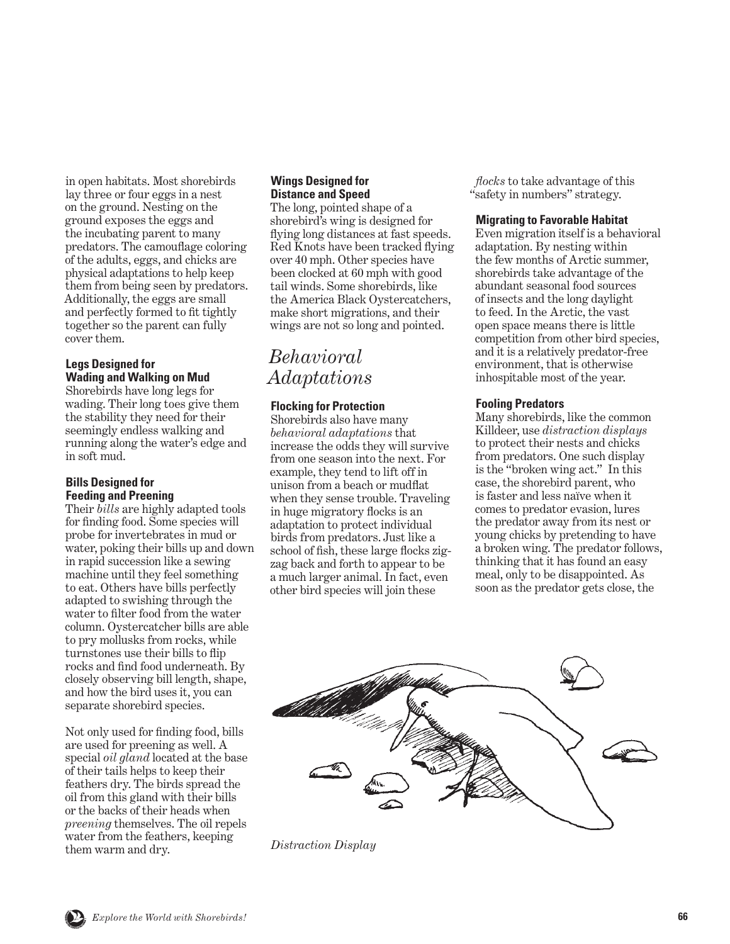<span id="page-1-0"></span>in open habitats. Most shorebirds lay three or four eggs in a nest on the ground. Nesting on the ground exposes the eggs and the incubating parent to many predators. The camouflage coloring of the adults, eggs, and chicks are physical adaptations to help keep them from being seen by predators. Additionally, the eggs are small and perfectly formed to fit tightly together so the parent can fully cover them.

### **Legs Designed for Wading and Walking on Mud**

Shorebirds have long legs for wading. Their long toes give them the stability they need for their seemingly endless walking and running along the water's edge and in soft mud.

### **Bills Designed for Feeding and Preening**

Their *bills* are highly adapted tools for finding food. Some species will probe for invertebrates in mud or water, poking their bills up and down in rapid succession like a sewing machine until they feel something to eat. Others have bills perfectly adapted to swishing through the water to filter food from the water column. Oystercatcher bills are able to pry mollusks from rocks, while turnstones use their bills to flip rocks and find food underneath. By closely observing bill length, shape, and how the bird uses it, you can separate shorebird species.

Not only used for finding food, bills are used for preening as well. A special *oil gland* located at the base of their tails helps to keep their feathers dry. The birds spread the oil from this gland with their bills or the backs of their heads when *preening* themselves. The oil repels water from the feathers, keeping them warm and dry.

### **Wings Designed for Distance and Speed**

The long, pointed shape of a shorebird's wing is designed for flying long distances at fast speeds. Red Knots have been tracked flying over 40 mph. Other species have been clocked at 60 mph with good tail winds. Some shorebirds, like the America Black Oystercatchers, make short migrations, and their wings are not so long and pointed.

### *Behavioral Adaptations*

### **Flocking for Protection**

Shorebirds also have many *behavioral adaptations* that increase the odds they will survive from one season into the next. For example, they tend to lift off in unison from a beach or mudflat when they sense trouble. Traveling in huge migratory flocks is an adaptation to protect individual birds from predators. Just like a school of fish, these large flocks zigzag back and forth to appear to be a much larger animal. In fact, even other bird species will join these

*flocks* to take advantage of this "safety in numbers" strategy.

#### **Migrating to Favorable Habitat**

Even migration itself is a behavioral adaptation. By nesting within the few months of Arctic summer, shorebirds take advantage of the abundant seasonal food sources of insects and the long daylight to feed. In the Arctic, the vast open space means there is little competition from other bird species, and it is a relatively predator-free environment, that is otherwise inhospitable most of the year.

### **Fooling Predators**

Many shorebirds, like the common Killdeer, use *distraction displays* to protect their nests and chicks from predators. One such display is the "broken wing act." In this case, the shorebird parent, who is faster and less naïve when it comes to predator evasion, lures the predator away from its nest or young chicks by pretending to have a broken wing. The predator follows, thinking that it has found an easy meal, only to be disappointed. As soon as the predator gets close, the



*Distraction Display*